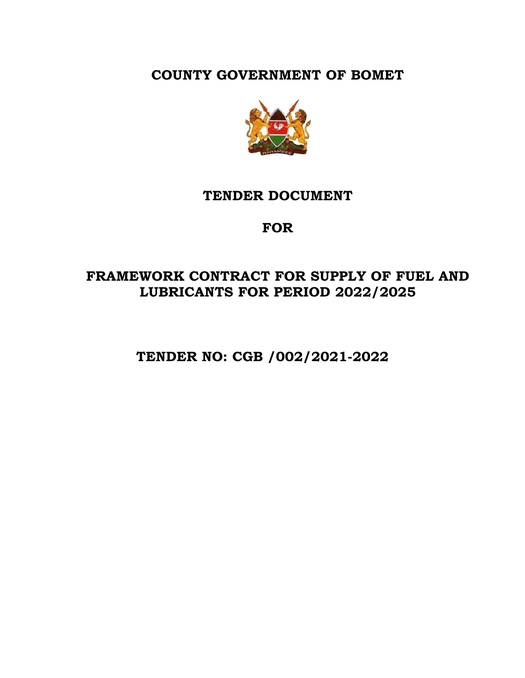**COUNTY GOVERNMENT OF BOMET**



# **TENDER DOCUMENT**

# **FOR**

# **FRAMEWORK CONTRACT FOR SUPPLY OF FUEL AND LUBRICANTS FOR PERIOD 2022/2025**

 **TENDER NO: CGB /002/2021-2022**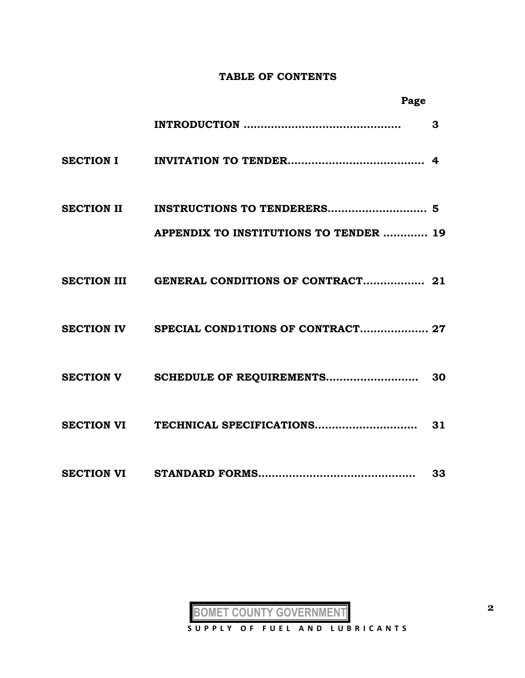#### **TABLE OF CONTENTS**

| Page                                         |    |
|----------------------------------------------|----|
|                                              | 3  |
|                                              |    |
|                                              |    |
| APPENDIX TO INSTITUTIONS TO TENDER  19       |    |
|                                              |    |
| SECTION IV SPECIAL COND1TIONS OF CONTRACT 27 |    |
|                                              |    |
|                                              |    |
|                                              | 33 |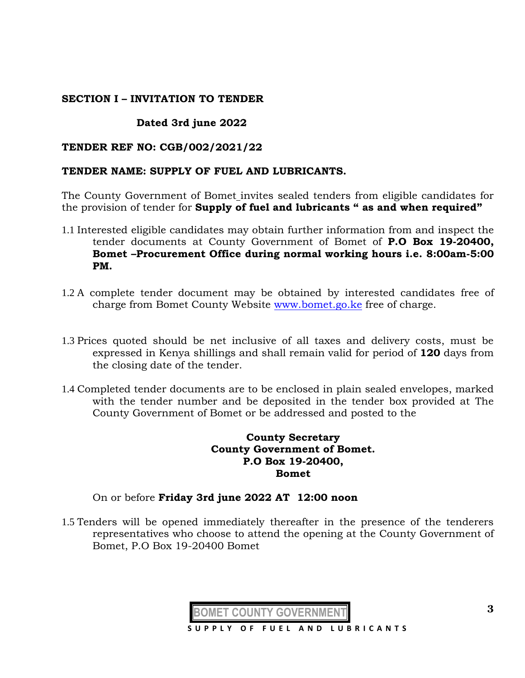### **SECTION I – INVITATION TO TENDER**

# **Dated 3rd june 2022**

### **TENDER REF NO: CGB/002/2021/22**

#### **TENDER NAME: SUPPLY OF FUEL AND LUBRICANTS.**

The County Government of Bomet invites sealed tenders from eligible candidates for the provision of tender for **Supply of fuel and lubricants " as and when required"**

- 1.1 Interested eligible candidates may obtain further information from and inspect the tender documents at County Government of Bomet of **P.O Box 19-20400, Bomet –Procurement Office during normal working hours i.e. 8:00am-5:00 PM.**
- 1.2 A complete tender document may be obtained by interested candidates free of charge from Bomet County Website [www.bomet.go.ke](http://www.bomet.go.ke/) free of charge.
- 1.3 Prices quoted should be net inclusive of all taxes and delivery costs, must be expressed in Kenya shillings and shall remain valid for period of **120** days from the closing date of the tender.
- 1.4 Completed tender documents are to be enclosed in plain sealed envelopes, marked with the tender number and be deposited in the tender box provided at The County Government of Bomet or be addressed and posted to the

### **County Secretary County Government of Bomet. P.O Box 19-20400, Bomet**

#### On or before **Friday 3rd june 2022 AT 12:00 noon**

1.5 Tenders will be opened immediately thereafter in the presence of the tenderers representatives who choose to attend the opening at the County Government of Bomet, P.O Box 19-20400 Bomet

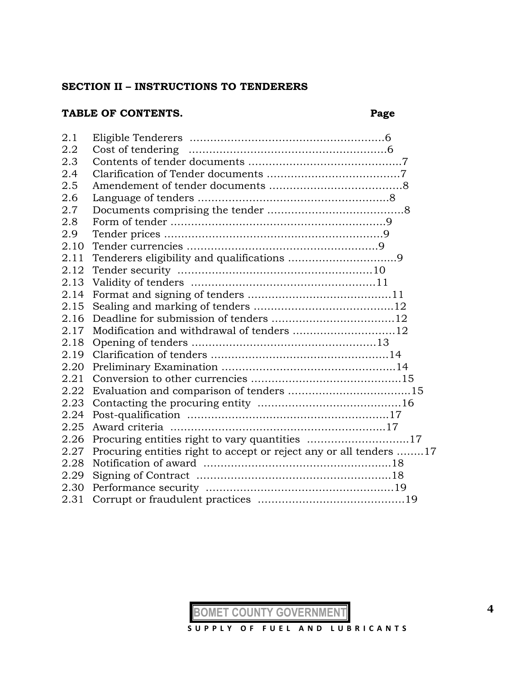#### **SECTION II – INSTRUCTIONS TO TENDERERS**

# **TABLE OF CONTENTS. Page**

| 2.1  |                                                                    |
|------|--------------------------------------------------------------------|
| 2.2  |                                                                    |
| 2.3  |                                                                    |
| 2.4  |                                                                    |
| 2.5  |                                                                    |
| 2.6  |                                                                    |
| 2.7  |                                                                    |
| 2.8  |                                                                    |
| 2.9  |                                                                    |
| 2.10 |                                                                    |
| 2.11 |                                                                    |
| 2.12 |                                                                    |
| 2.13 |                                                                    |
| 2.14 |                                                                    |
| 2.15 |                                                                    |
| 2.16 |                                                                    |
| 2.17 | Modification and withdrawal of tenders 12                          |
| 2.18 |                                                                    |
| 2.19 |                                                                    |
| 2.20 |                                                                    |
| 2.21 |                                                                    |
| 2.22 |                                                                    |
| 2.23 |                                                                    |
| 2.24 |                                                                    |
| 2.25 |                                                                    |
| 2.26 |                                                                    |
| 2.27 | Procuring entities right to accept or reject any or all tenders 17 |
| 2.28 |                                                                    |
| 2.29 |                                                                    |
| 2.30 |                                                                    |
| 2.31 |                                                                    |
|      |                                                                    |

**BOMET COUNTY GOVERNMENT**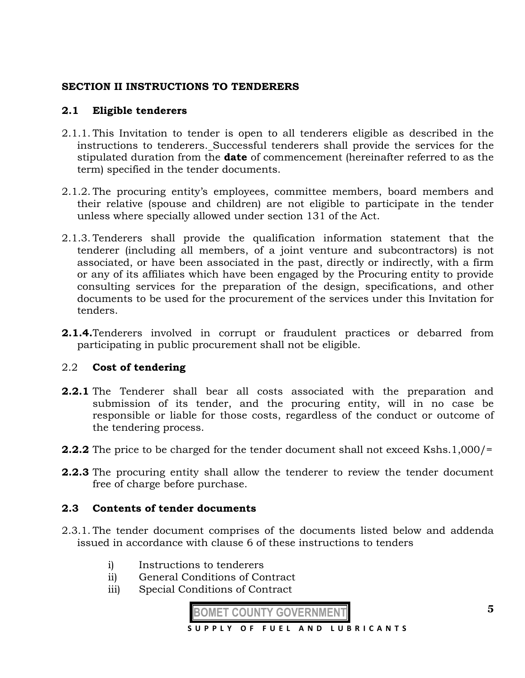# **SECTION II INSTRUCTIONS TO TENDERERS**

# **2.1 Eligible tenderers**

- 2.1.1. This Invitation to tender is open to all tenderers eligible as described in the instructions to tenderers. Successful tenderers shall provide the services for the stipulated duration from the **date** of commencement (hereinafter referred to as the term) specified in the tender documents.
- 2.1.2. The procuring entity's employees, committee members, board members and their relative (spouse and children) are not eligible to participate in the tender unless where specially allowed under section 131 of the Act.
- 2.1.3. Tenderers shall provide the qualification information statement that the tenderer (including all members, of a joint venture and subcontractors) is not associated, or have been associated in the past, directly or indirectly, with a firm or any of its affiliates which have been engaged by the Procuring entity to provide consulting services for the preparation of the design, specifications, and other documents to be used for the procurement of the services under this Invitation for tenders.
- **2.1.4.**Tenderers involved in corrupt or fraudulent practices or debarred from participating in public procurement shall not be eligible.

# 2.2 **Cost of tendering**

- **2.2.1** The Tenderer shall bear all costs associated with the preparation and submission of its tender, and the procuring entity, will in no case be responsible or liable for those costs, regardless of the conduct or outcome of the tendering process.
- **2.2.2** The price to be charged for the tender document shall not exceed Kshs.1,000/=
- **2.2.3** The procuring entity shall allow the tenderer to review the tender document free of charge before purchase.

#### **2.3 Contents of tender documents**

- 2.3.1. The tender document comprises of the documents listed below and addenda issued in accordance with clause 6 of these instructions to tenders
	- i) Instructions to tenderers
	- ii) General Conditions of Contract
	- iii) Special Conditions of Contract

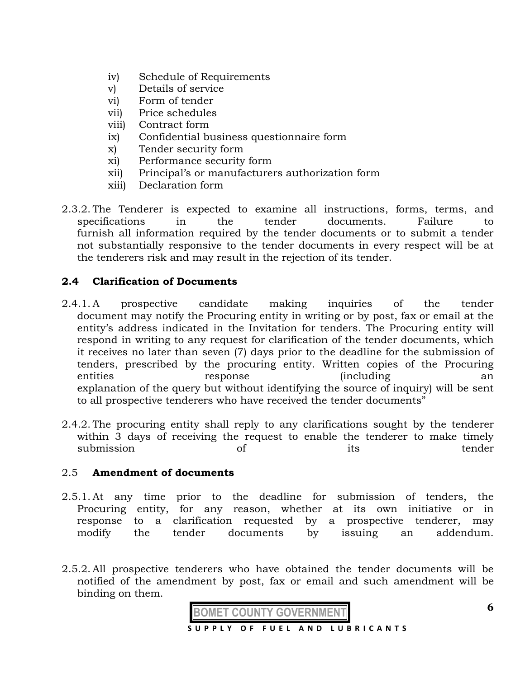- iv) Schedule of Requirements
- v) Details of service
- vi) Form of tender
- vii) Price schedules
- viii) Contract form
- ix) Confidential business questionnaire form
- x) Tender security form
- xi) Performance security form
- xii) Principal's or manufacturers authorization form
- xiii) Declaration form
- 2.3.2. The Tenderer is expected to examine all instructions, forms, terms, and specifications in the tender documents. Failure to furnish all information required by the tender documents or to submit a tender not substantially responsive to the tender documents in every respect will be at the tenderers risk and may result in the rejection of its tender.

# **2.4 Clarification of Documents**

- 2.4.1. A prospective candidate making inquiries of the tender document may notify the Procuring entity in writing or by post, fax or email at the entity's address indicated in the Invitation for tenders. The Procuring entity will respond in writing to any request for clarification of the tender documents, which it receives no later than seven (7) days prior to the deadline for the submission of tenders, prescribed by the procuring entity. Written copies of the Procuring entities response (including an explanation of the query but without identifying the source of inquiry) will be sent to all prospective tenderers who have received the tender documents"
- 2.4.2. The procuring entity shall reply to any clarifications sought by the tenderer within 3 days of receiving the request to enable the tenderer to make timely submission of its tender

#### 2.5 **Amendment of documents**

- 2.5.1. At any time prior to the deadline for submission of tenders, the Procuring entity, for any reason, whether at its own initiative or in response to a clarification requested by a prospective tenderer, may modify the tender documents by issuing an addendum.
- 2.5.2. All prospective tenderers who have obtained the tender documents will be notified of the amendment by post, fax or email and such amendment will be binding on them.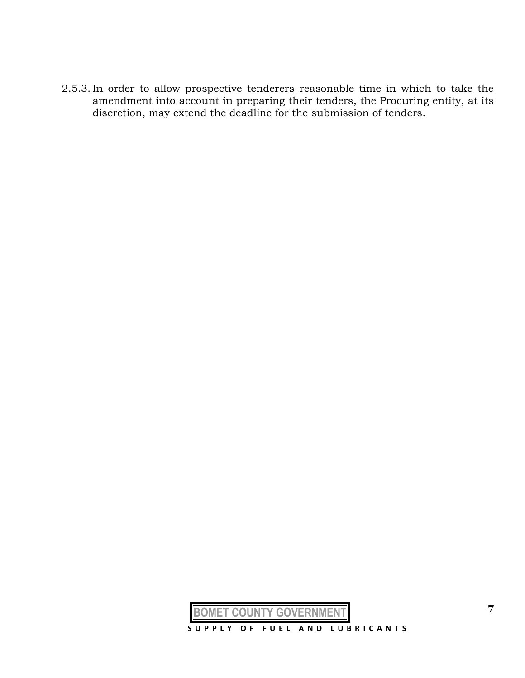2.5.3. In order to allow prospective tenderers reasonable time in which to take the amendment into account in preparing their tenders, the Procuring entity, at its discretion, may extend the deadline for the submission of tenders.

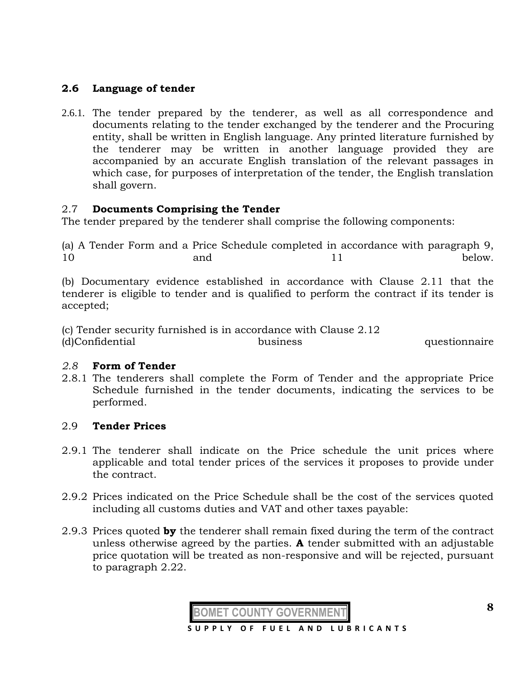# **2.6 Language of tender**

2.6.1. The tender prepared by the tenderer, as well as all correspondence and documents relating to the tender exchanged by the tenderer and the Procuring entity, shall be written in English language. Any printed literature furnished by the tenderer may be written in another language provided they are accompanied by an accurate English translation of the relevant passages in which case, for purposes of interpretation of the tender, the English translation shall govern.

# 2.7 **Documents Comprising the Tender**

The tender prepared by the tenderer shall comprise the following components:

(a) A Tender Form and a Price Schedule completed in accordance with paragraph 9, 10 and 11 below.

(b) Documentary evidence established in accordance with Clause 2.11 that the tenderer is eligible to tender and is qualified to perform the contract if its tender is accepted;

(c) Tender security furnished is in accordance with Clause 2.12 (d)Confidential business questionnaire

#### *2.8* **Form of Tender**

2.8.1 The tenderers shall complete the Form of Tender and the appropriate Price Schedule furnished in the tender documents, indicating the services to be performed.

# 2.9 **Tender Prices**

- 2.9.1 The tenderer shall indicate on the Price schedule the unit prices where applicable and total tender prices of the services it proposes to provide under the contract.
- 2.9.2 Prices indicated on the Price Schedule shall be the cost of the services quoted including all customs duties and VAT and other taxes payable:
- 2.9.3 Prices quoted **by** the tenderer shall remain fixed during the term of the contract unless otherwise agreed by the parties. **A** tender submitted with an adjustable price quotation will be treated as non-responsive and will be rejected, pursuant to paragraph 2.22.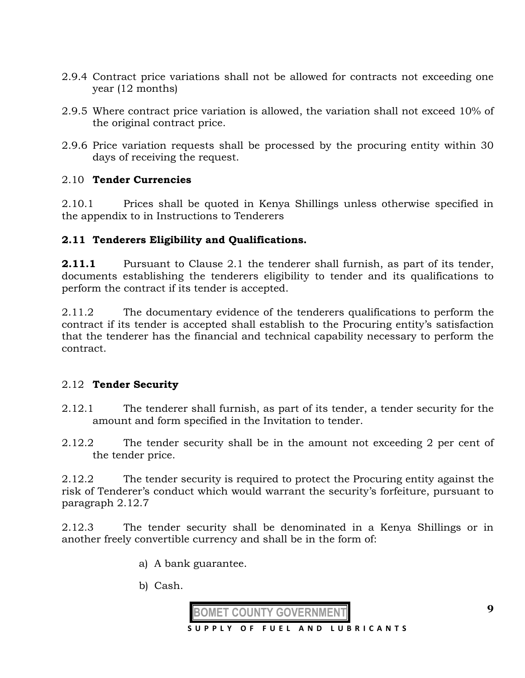- 2.9.4 Contract price variations shall not be allowed for contracts not exceeding one year (12 months)
- 2.9.5 Where contract price variation is allowed, the variation shall not exceed 10% of the original contract price.
- 2.9.6 Price variation requests shall be processed by the procuring entity within 30 days of receiving the request.

# 2.10 **Tender Currencies**

2.10.1 Prices shall be quoted in Kenya Shillings unless otherwise specified in the appendix to in Instructions to Tenderers

# **2.11 Tenderers Eligibility and Qualifications.**

**2.11.1** Pursuant to Clause 2.1 the tenderer shall furnish, as part of its tender, documents establishing the tenderers eligibility to tender and its qualifications to perform the contract if its tender is accepted.

2.11.2 The documentary evidence of the tenderers qualifications to perform the contract if its tender is accepted shall establish to the Procuring entity's satisfaction that the tenderer has the financial and technical capability necessary to perform the contract.

# 2.12 **Tender Security**

- 2.12.1 The tenderer shall furnish, as part of its tender, a tender security for the amount and form specified in the Invitation to tender.
- 2.12.2 The tender security shall be in the amount not exceeding 2 per cent of the tender price.

2.12.2 The tender security is required to protect the Procuring entity against the risk of Tenderer's conduct which would warrant the security's forfeiture, pursuant to paragraph 2.12.7

2.12.3 The tender security shall be denominated in a Kenya Shillings or in another freely convertible currency and shall be in the form of:

- a) A bank guarantee.
- b) Cash.

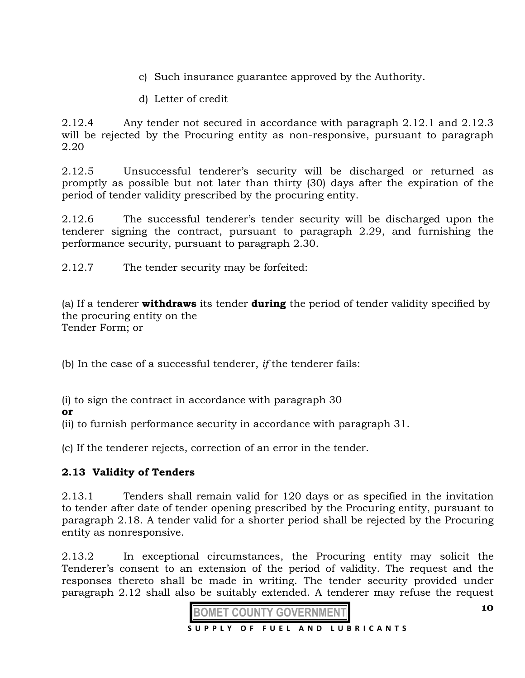- c) Such insurance guarantee approved by the Authority.
- d) Letter of credit

2.12.4 Any tender not secured in accordance with paragraph 2.12.1 and 2.12.3 will be rejected by the Procuring entity as non-responsive, pursuant to paragraph 2.20

2.12.5 Unsuccessful tenderer's security will be discharged or returned as promptly as possible but not later than thirty (30) days after the expiration of the period of tender validity prescribed by the procuring entity.

2.12.6 The successful tenderer's tender security will be discharged upon the tenderer signing the contract, pursuant to paragraph 2.29, and furnishing the performance security, pursuant to paragraph 2.30.

2.12.7 The tender security may be forfeited:

(a) If a tenderer **withdraws** its tender **during** the period of tender validity specified by the procuring entity on the Tender Form; or

(b) In the case of a successful tenderer, *if* the tenderer fails:

(i) to sign the contract in accordance with paragraph 30

**or** 

(ii) to furnish performance security in accordance with paragraph 31.

(c) If the tenderer rejects, correction of an error in the tender.

# **2.13 Validity of Tenders**

2.13.1 Tenders shall remain valid for 120 days or as specified in the invitation to tender after date of tender opening prescribed by the Procuring entity, pursuant to paragraph 2.18. A tender valid for a shorter period shall be rejected by the Procuring entity as nonresponsive.

2.13.2 In exceptional circumstances, the Procuring entity may solicit the Tenderer's consent to an extension of the period of validity. The request and the responses thereto shall be made in writing. The tender security provided under paragraph 2.12 shall also be suitably extended. A tenderer may refuse the request



**10**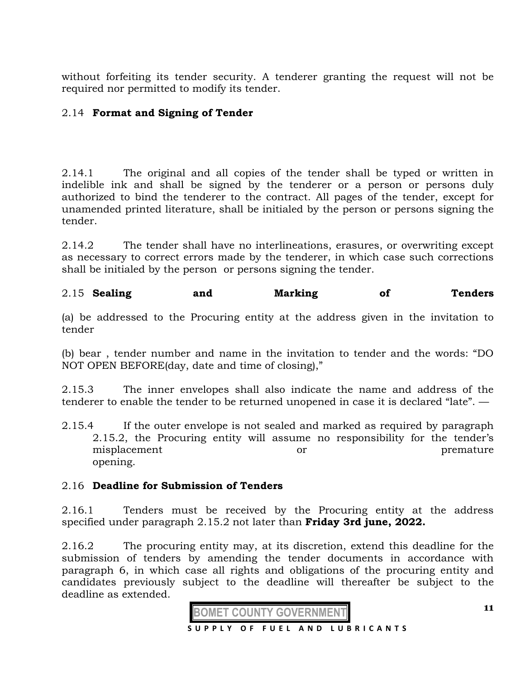without forfeiting its tender security. A tenderer granting the request will not be required nor permitted to modify its tender.

# 2.14 **Format and Signing of Tender**

2.14.1 The original and all copies of the tender shall be typed or written in indelible ink and shall be signed by the tenderer or a person or persons duly authorized to bind the tenderer to the contract. All pages of the tender, except for unamended printed literature, shall be initialed by the person or persons signing the tender.

2.14.2 The tender shall have no interlineations, erasures, or overwriting except as necessary to correct errors made by the tenderer, in which case such corrections shall be initialed by the person or persons signing the tender.

2.15 **Sealing and Marking of Tenders** 

(a) be addressed to the Procuring entity at the address given in the invitation to tender

(b) bear , tender number and name in the invitation to tender and the words: "DO NOT OPEN BEFORE(day, date and time of closing),"

2.15.3 The inner envelopes shall also indicate the name and address of the tenderer to enable the tender to be returned unopened in case it is declared "late". —

2.15.4 If the outer envelope is not sealed and marked as required by paragraph 2.15.2, the Procuring entity will assume no responsibility for the tender's misplacement or or premature opening.

#### 2.16 **Deadline for Submission of Tenders**

2.16.1 Tenders must be received by the Procuring entity at the address specified under paragraph 2.15.2 not later than **Friday 3rd june, 2022.**

2.16.2 The procuring entity may, at its discretion, extend this deadline for the submission of tenders by amending the tender documents in accordance with paragraph 6, in which case all rights and obligations of the procuring entity and candidates previously subject to the deadline will thereafter be subject to the deadline as extended.

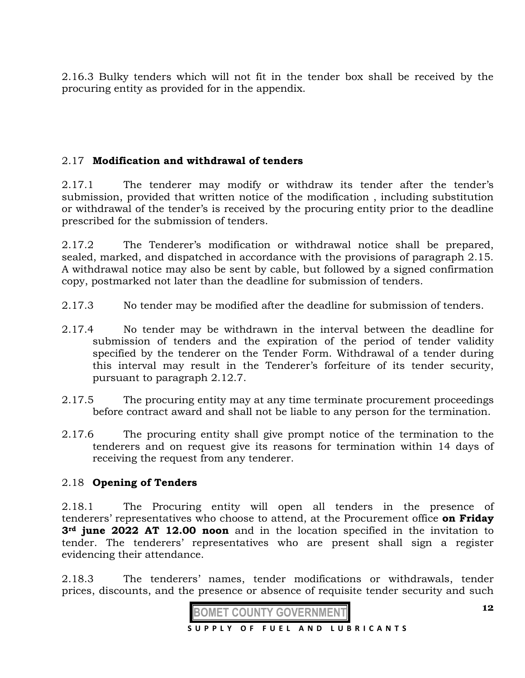2.16.3 Bulky tenders which will not fit in the tender box shall be received by the procuring entity as provided for in the appendix.

# 2.17 **Modification and withdrawal of tenders**

2.17.1 The tenderer may modify or withdraw its tender after the tender's submission, provided that written notice of the modification , including substitution or withdrawal of the tender's is received by the procuring entity prior to the deadline prescribed for the submission of tenders.

2.17.2 The Tenderer's modification or withdrawal notice shall be prepared, sealed, marked, and dispatched in accordance with the provisions of paragraph 2.15. A withdrawal notice may also be sent by cable, but followed by a signed confirmation copy, postmarked not later than the deadline for submission of tenders.

- 2.17.3 No tender may be modified after the deadline for submission of tenders.
- 2.17.4 No tender may be withdrawn in the interval between the deadline for submission of tenders and the expiration of the period of tender validity specified by the tenderer on the Tender Form. Withdrawal of a tender during this interval may result in the Tenderer's forfeiture of its tender security, pursuant to paragraph 2.12.7.
- 2.17.5 The procuring entity may at any time terminate procurement proceedings before contract award and shall not be liable to any person for the termination.
- 2.17.6 The procuring entity shall give prompt notice of the termination to the tenderers and on request give its reasons for termination within 14 days of receiving the request from any tenderer.

# 2.18 **Opening of Tenders**

2.18.1 The Procuring entity will open all tenders in the presence of tenderers' representatives who choose to attend, at the Procurement office **on Friday 3rd june 2022 AT 12.00 noon** and in the location specified in the invitation to tender. The tenderers' representatives who are present shall sign a register evidencing their attendance.

2.18.3 The tenderers' names, tender modifications or withdrawals, tender prices, discounts, and the presence or absence of requisite tender security and such

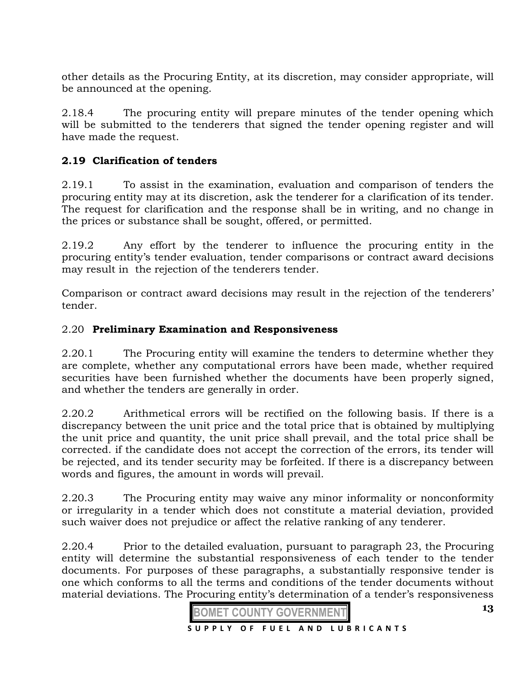other details as the Procuring Entity, at its discretion, may consider appropriate, will be announced at the opening.

2.18.4 The procuring entity will prepare minutes of the tender opening which will be submitted to the tenderers that signed the tender opening register and will have made the request.

# **2.19 Clarification of tenders**

2.19.1 To assist in the examination, evaluation and comparison of tenders the procuring entity may at its discretion, ask the tenderer for a clarification of its tender. The request for clarification and the response shall be in writing, and no change in the prices or substance shall be sought, offered, or permitted.

2.19.2 Any effort by the tenderer to influence the procuring entity in the procuring entity's tender evaluation, tender comparisons or contract award decisions may result in the rejection of the tenderers tender.

Comparison or contract award decisions may result in the rejection of the tenderers' tender.

# 2.20 **Preliminary Examination and Responsiveness**

2.20.1 The Procuring entity will examine the tenders to determine whether they are complete, whether any computational errors have been made, whether required securities have been furnished whether the documents have been properly signed, and whether the tenders are generally in order.

2.20.2 Arithmetical errors will be rectified on the following basis. If there is a discrepancy between the unit price and the total price that is obtained by multiplying the unit price and quantity, the unit price shall prevail, and the total price shall be corrected. if the candidate does not accept the correction of the errors, its tender will be rejected, and its tender security may be forfeited. If there is a discrepancy between words and figures, the amount in words will prevail.

2.20.3 The Procuring entity may waive any minor informality or nonconformity or irregularity in a tender which does not constitute a material deviation, provided such waiver does not prejudice or affect the relative ranking of any tenderer.

2.20.4 Prior to the detailed evaluation, pursuant to paragraph 23, the Procuring entity will determine the substantial responsiveness of each tender to the tender documents. For purposes of these paragraphs, a substantially responsive tender is one which conforms to all the terms and conditions of the tender documents without material deviations. The Procuring entity's determination of a tender's responsiveness

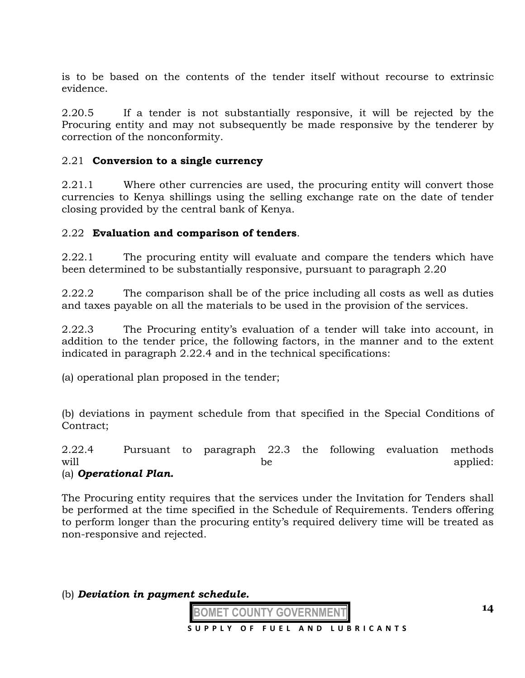is to be based on the contents of the tender itself without recourse to extrinsic evidence.

2.20.5 If a tender is not substantially responsive, it will be rejected by the Procuring entity and may not subsequently be made responsive by the tenderer by correction of the nonconformity.

# 2.21 **Conversion to a single currency**

2.21.1 Where other currencies are used, the procuring entity will convert those currencies to Kenya shillings using the selling exchange rate on the date of tender closing provided by the central bank of Kenya.

#### 2.22 **Evaluation and comparison of tenders**.

2.22.1 The procuring entity will evaluate and compare the tenders which have been determined to be substantially responsive, pursuant to paragraph 2.20

2.22.2 The comparison shall be of the price including all costs as well as duties and taxes payable on all the materials to be used in the provision of the services.

2.22.3 The Procuring entity's evaluation of a tender will take into account, in addition to the tender price, the following factors, in the manner and to the extent indicated in paragraph 2.22.4 and in the technical specifications:

(a) operational plan proposed in the tender;

(b) deviations in payment schedule from that specified in the Special Conditions of Contract;

2.22.4 Pursuant to paragraph 22.3 the following evaluation methods will be applied: (a) *Operational Plan.* 

The Procuring entity requires that the services under the Invitation for Tenders shall be performed at the time specified in the Schedule of Requirements. Tenders offering to perform longer than the procuring entity's required delivery time will be treated as non-responsive and rejected.

(b) *Deviation in payment schedule.*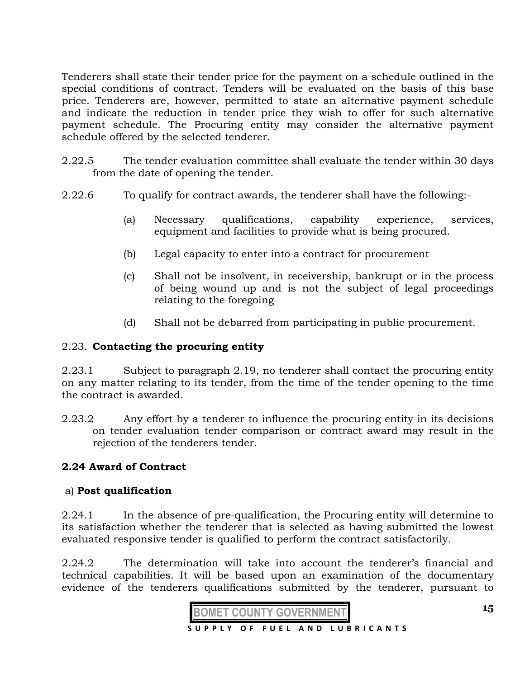Tenderers shall state their tender price for the payment on a schedule outlined in the special conditions of contract. Tenders will be evaluated on the basis of this base price. Tenderers are, however, permitted to state an alternative payment schedule and indicate the reduction in tender price they wish to offer for such alternative payment schedule. The Procuring entity may consider the alternative payment schedule offered by the selected tenderer.

- 2.22.5 The tender evaluation committee shall evaluate the tender within 30 days from the date of opening the tender.
- 2.22.6 To qualify for contract awards, the tenderer shall have the following:-
	- (a) Necessary qualifications, capability experience, services, equipment and facilities to provide what is being procured.
	- (b) Legal capacity to enter into a contract for procurement
	- (c) Shall not be insolvent, in receivership, bankrupt or in the process of being wound up and is not the subject of legal proceedings relating to the foregoing
	- (d) Shall not be debarred from participating in public procurement.

# 2.23. **Contacting the procuring entity**

2.23.1 Subject to paragraph 2.19, no tenderer shall contact the procuring entity on any matter relating to its tender, from the time of the tender opening to the time the contract is awarded.

2.23.2 Any effort by a tenderer to influence the procuring entity in its decisions on tender evaluation tender comparison or contract award may result in the rejection of the tenderers tender.

# **2.24 Award of Contract**

#### a) **Post qualification**

2.24.1 In the absence of pre-qualification, the Procuring entity will determine to its satisfaction whether the tenderer that is selected as having submitted the lowest evaluated responsive tender is qualified to perform the contract satisfactorily.

2.24.2 The determination will take into account the tenderer's financial and technical capabilities. It will be based upon an examination of the documentary evidence of the tenderers qualifications submitted by the tenderer, pursuant to

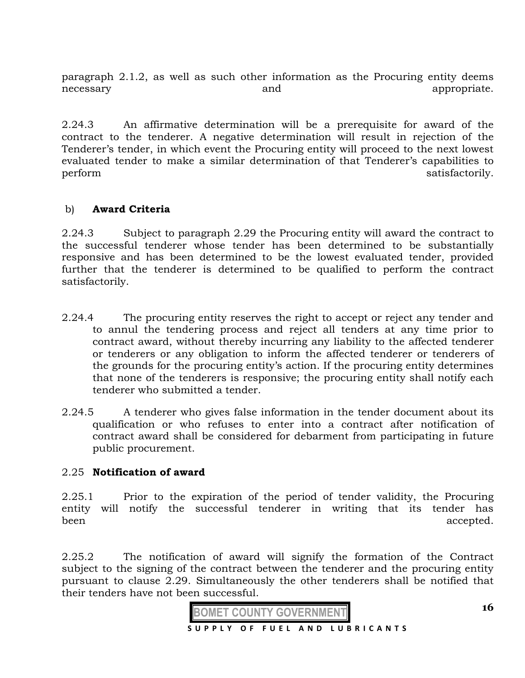paragraph 2.1.2, as well as such other information as the Procuring entity deems necessary and appropriate.

2.24.3 An affirmative determination will be a prerequisite for award of the contract to the tenderer. A negative determination will result in rejection of the Tenderer's tender, in which event the Procuring entity will proceed to the next lowest evaluated tender to make a similar determination of that Tenderer's capabilities to perform satisfactorily.

# b) **Award Criteria**

2.24.3 Subject to paragraph 2.29 the Procuring entity will award the contract to the successful tenderer whose tender has been determined to be substantially responsive and has been determined to be the lowest evaluated tender, provided further that the tenderer is determined to be qualified to perform the contract satisfactorily.

- 2.24.4 The procuring entity reserves the right to accept or reject any tender and to annul the tendering process and reject all tenders at any time prior to contract award, without thereby incurring any liability to the affected tenderer or tenderers or any obligation to inform the affected tenderer or tenderers of the grounds for the procuring entity's action. If the procuring entity determines that none of the tenderers is responsive; the procuring entity shall notify each tenderer who submitted a tender.
- 2.24.5 A tenderer who gives false information in the tender document about its qualification or who refuses to enter into a contract after notification of contract award shall be considered for debarment from participating in future public procurement.

#### 2.25 **Notification of award**

2.25.1 Prior to the expiration of the period of tender validity, the Procuring entity will notify the successful tenderer in writing that its tender has been accepted.

2.25.2 The notification of award will signify the formation of the Contract subject to the signing of the contract between the tenderer and the procuring entity pursuant to clause 2.29. Simultaneously the other tenderers shall be notified that their tenders have not been successful.

**BOMET COUNTY GOVERNMENT S U P P L Y O F F U E L A N D L U B R I C A N T S**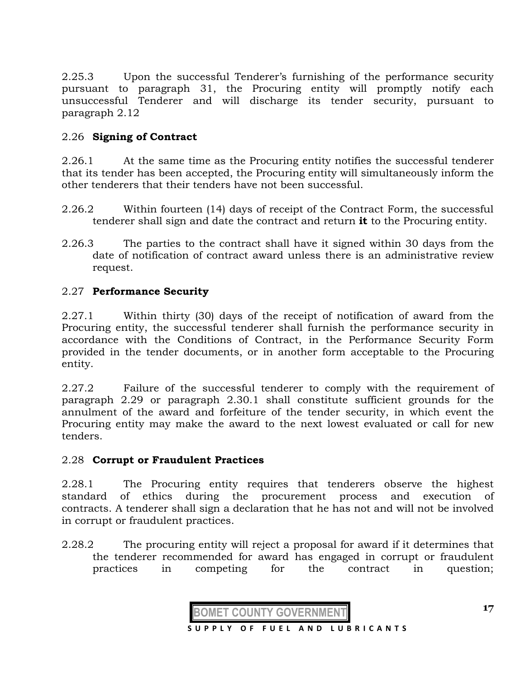2.25.3 Upon the successful Tenderer's furnishing of the performance security pursuant to paragraph 31, the Procuring entity will promptly notify each unsuccessful Tenderer and will discharge its tender security, pursuant to paragraph 2.12

# 2.26 **Signing of Contract**

2.26.1 At the same time as the Procuring entity notifies the successful tenderer that its tender has been accepted, the Procuring entity will simultaneously inform the other tenderers that their tenders have not been successful.

- 2.26.2 Within fourteen (14) days of receipt of the Contract Form, the successful tenderer shall sign and date the contract and return **it** to the Procuring entity.
- 2.26.3 The parties to the contract shall have it signed within 30 days from the date of notification of contract award unless there is an administrative review request.

# 2.27 **Performance Security**

2.27.1 Within thirty (30) days of the receipt of notification of award from the Procuring entity, the successful tenderer shall furnish the performance security in accordance with the Conditions of Contract, in the Performance Security Form provided in the tender documents, or in another form acceptable to the Procuring entity.

2.27.2 Failure of the successful tenderer to comply with the requirement of paragraph 2.29 or paragraph 2.30.1 shall constitute sufficient grounds for the annulment of the award and forfeiture of the tender security, in which event the Procuring entity may make the award to the next lowest evaluated or call for new tenders.

# 2.28 **Corrupt or Fraudulent Practices**

2.28.1 The Procuring entity requires that tenderers observe the highest standard of ethics during the procurement process and execution of contracts. A tenderer shall sign a declaration that he has not and will not be involved in corrupt or fraudulent practices.

2.28.2 The procuring entity will reject a proposal for award if it determines that the tenderer recommended for award has engaged in corrupt or fraudulent practices in competing for the contract in question;

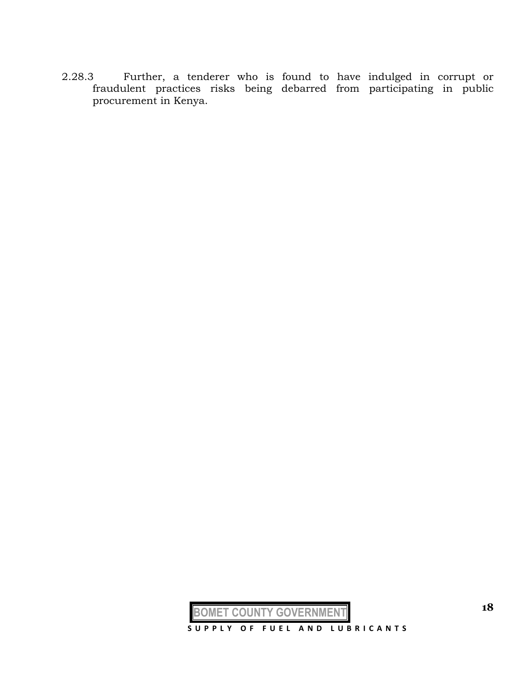2.28.3 Further, a tenderer who is found to have indulged in corrupt or fraudulent practices risks being debarred from participating in public procurement in Kenya.



**BOMET COUNTY GOVERNMEN**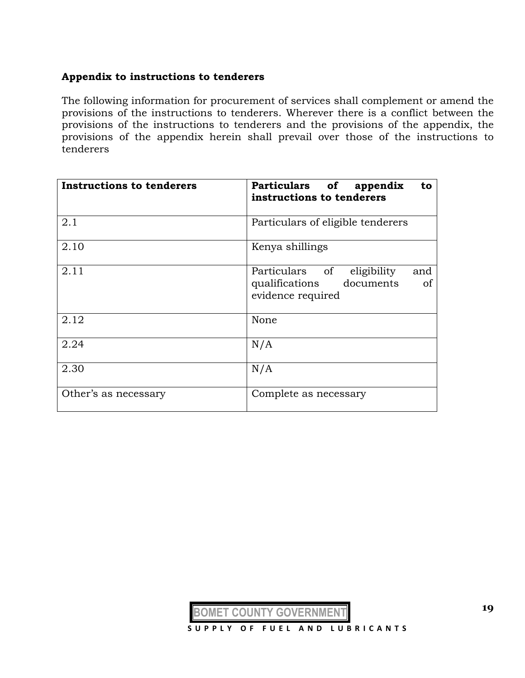# **Appendix to instructions to tenderers**

The following information for procurement of services shall complement or amend the provisions of the instructions to tenderers. Wherever there is a conflict between the provisions of the instructions to tenderers and the provisions of the appendix, the provisions of the appendix herein shall prevail over those of the instructions to tenderers

| <b>Instructions to tenderers</b> | Particulars of appendix<br>to<br>instructions to tenderers                                                |
|----------------------------------|-----------------------------------------------------------------------------------------------------------|
| 2.1                              | Particulars of eligible tenderers                                                                         |
| 2.10                             | Kenya shillings                                                                                           |
| 2.11                             | Particulars of<br>eligibility<br>and<br>qualifications<br>documents<br><sub>of</sub><br>evidence required |
| 2.12                             | None                                                                                                      |
| 2.24                             | N/A                                                                                                       |
| 2.30                             | N/A                                                                                                       |
| Other's as necessary             | Complete as necessary                                                                                     |

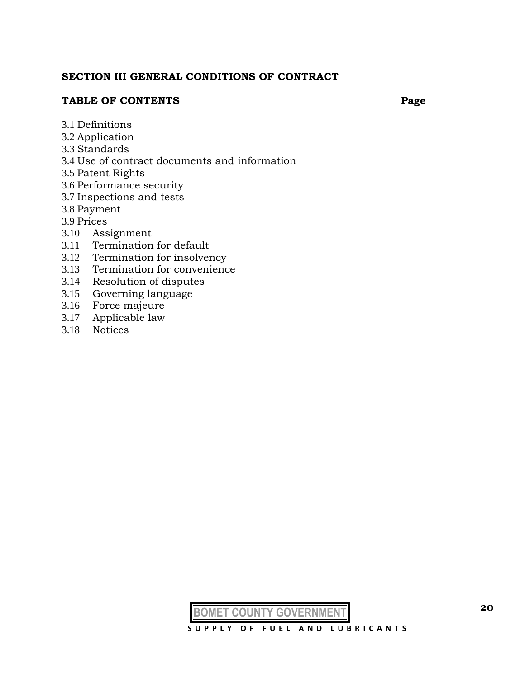#### **SECTION III GENERAL CONDITIONS OF CONTRACT**

#### **TABLE OF CONTENTS Page**

- 3.1 Definitions
- 3.2 Application
- 3.3 Standards
- 3.4 Use of contract documents and information
- 3.5 Patent Rights
- 3.6 Performance security
- 3.7 Inspections and tests
- 3.8 Payment
- 3.9 Prices
- 3.10 Assignment
- 3.11 Termination for default
- 3.12 Termination for insolvency
- 3.13 Termination for convenience
- 3.14 Resolution of disputes
- 3.15 Governing language
- 3.16 Force majeure
- 3.17 Applicable law
- 3.18 Notices

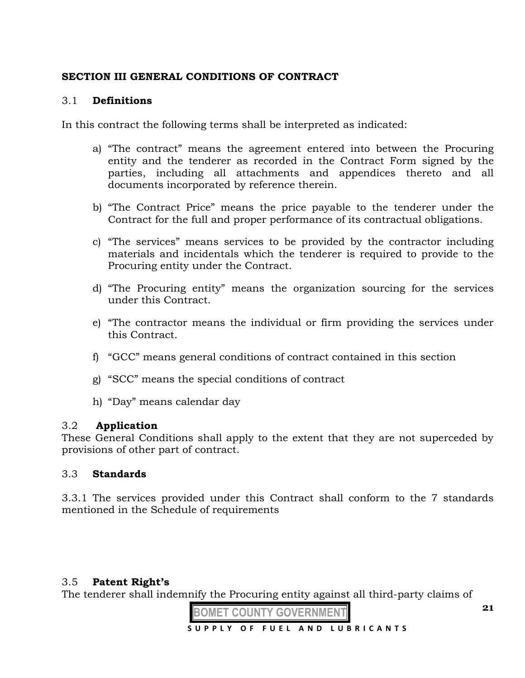# **SECTION III GENERAL CONDITIONS OF CONTRACT**

# 3.1 **Definitions**

In this contract the following terms shall be interpreted as indicated:

- a) "The contract" means the agreement entered into between the Procuring entity and the tenderer as recorded in the Contract Form signed by the parties, including all attachments and appendices thereto and all documents incorporated by reference therein.
- b) "The Contract Price" means the price payable to the tenderer under the Contract for the full and proper performance of its contractual obligations.
- c) "The services" means services to be provided by the contractor including materials and incidentals which the tenderer is required to provide to the Procuring entity under the Contract.
- d) "The Procuring entity" means the organization sourcing for the services under this Contract.
- e) "The contractor means the individual or firm providing the services under this Contract.
- f) "GCC" means general conditions of contract contained in this section
- g) "SCC" means the special conditions of contract
- h) "Day" means calendar day

# 3.2 **Application**

These General Conditions shall apply to the extent that they are not superceded by provisions of other part of contract.

# 3.3 **Standards**

3.3.1 The services provided under this Contract shall conform to the 7 standards mentioned in the Schedule of requirements

# 3.5 **Patent Right's**

The tenderer shall indemnify the Procuring entity against all third-party claims of

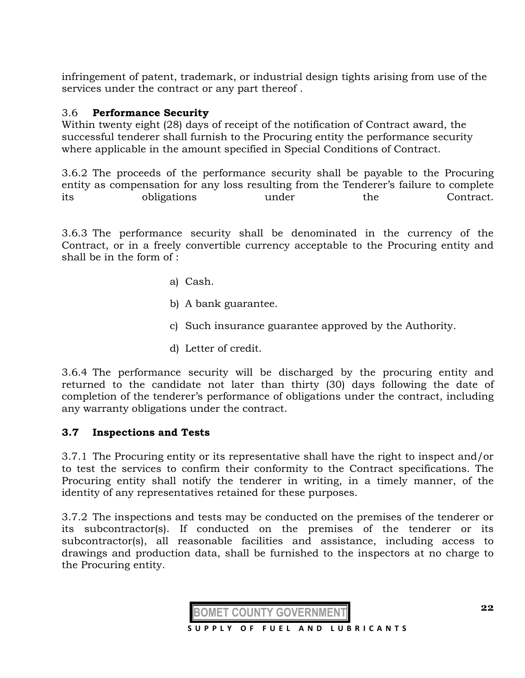infringement of patent, trademark, or industrial design tights arising from use of the services under the contract or any part thereof .

# 3.6 **Performance Security**

Within twenty eight (28) days of receipt of the notification of Contract award, the successful tenderer shall furnish to the Procuring entity the performance security where applicable in the amount specified in Special Conditions of Contract.

3.6.2 The proceeds of the performance security shall be payable to the Procuring entity as compensation for any loss resulting from the Tenderer's failure to complete its obligations under the Contract.

3.6.3 The performance security shall be denominated in the currency of the Contract, or in a freely convertible currency acceptable to the Procuring entity and shall be in the form of :

- a) Cash.
- b) A bank guarantee.
- c) Such insurance guarantee approved by the Authority.
- d) Letter of credit.

3.6.4 The performance security will be discharged by the procuring entity and returned to the candidate not later than thirty (30) days following the date of completion of the tenderer's performance of obligations under the contract, including any warranty obligations under the contract.

#### **3.7 Inspections and Tests**

3.7.1 The Procuring entity or its representative shall have the right to inspect and/or to test the services to confirm their conformity to the Contract specifications. The Procuring entity shall notify the tenderer in writing, in a timely manner, of the identity of any representatives retained for these purposes.

3.7.2 The inspections and tests may be conducted on the premises of the tenderer or its subcontractor(s). If conducted on the premises of the tenderer or its subcontractor(s), all reasonable facilities and assistance, including access to drawings and production data, shall be furnished to the inspectors at no charge to the Procuring entity.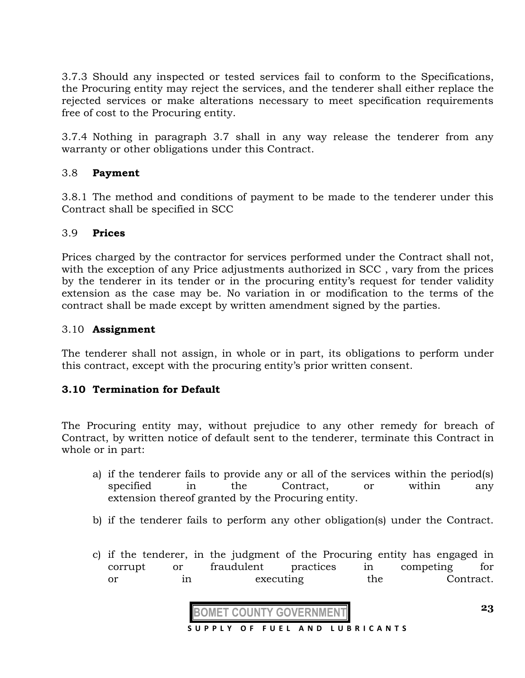3.7.3 Should any inspected or tested services fail to conform to the Specifications, the Procuring entity may reject the services, and the tenderer shall either replace the rejected services or make alterations necessary to meet specification requirements free of cost to the Procuring entity.

3.7.4 Nothing in paragraph 3.7 shall in any way release the tenderer from any warranty or other obligations under this Contract.

# 3.8 **Payment**

3.8.1 The method and conditions of payment to be made to the tenderer under this Contract shall be specified in SCC

# 3.9 **Prices**

Prices charged by the contractor for services performed under the Contract shall not, with the exception of any Price adjustments authorized in SCC , vary from the prices by the tenderer in its tender or in the procuring entity's request for tender validity extension as the case may be. No variation in or modification to the terms of the contract shall be made except by written amendment signed by the parties.

# 3.10 **Assignment**

The tenderer shall not assign, in whole or in part, its obligations to perform under this contract, except with the procuring entity's prior written consent.

# **3.10 Termination for Default**

The Procuring entity may, without prejudice to any other remedy for breach of Contract, by written notice of default sent to the tenderer, terminate this Contract in whole or in part:

- a) if the tenderer fails to provide any or all of the services within the period(s) specified in the Contract, or within any extension thereof granted by the Procuring entity.
- b) if the tenderer fails to perform any other obligation(s) under the Contract.
- c) if the tenderer, in the judgment of the Procuring entity has engaged in corrupt or fraudulent practices in competing for or in executing the Contract.

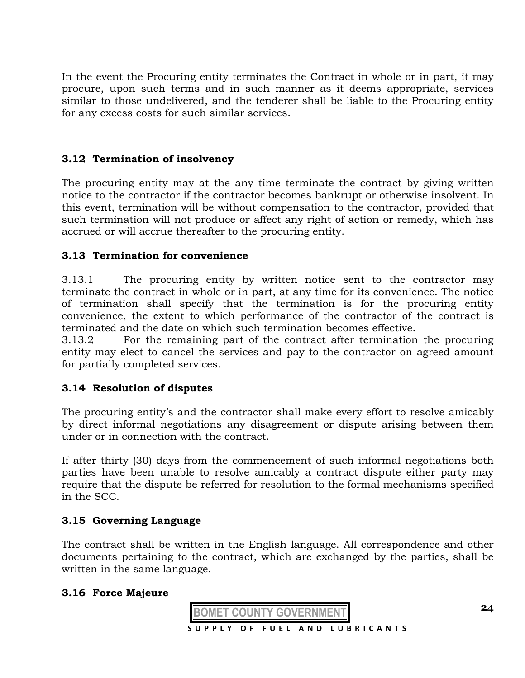In the event the Procuring entity terminates the Contract in whole or in part, it may procure, upon such terms and in such manner as it deems appropriate, services similar to those undelivered, and the tenderer shall be liable to the Procuring entity for any excess costs for such similar services.

# **3.12 Termination of insolvency**

The procuring entity may at the any time terminate the contract by giving written notice to the contractor if the contractor becomes bankrupt or otherwise insolvent. In this event, termination will be without compensation to the contractor, provided that such termination will not produce or affect any right of action or remedy, which has accrued or will accrue thereafter to the procuring entity.

#### **3.13 Termination for convenience**

3.13.1 The procuring entity by written notice sent to the contractor may terminate the contract in whole or in part, at any time for its convenience. The notice of termination shall specify that the termination is for the procuring entity convenience, the extent to which performance of the contractor of the contract is terminated and the date on which such termination becomes effective.

3.13.2 For the remaining part of the contract after termination the procuring entity may elect to cancel the services and pay to the contractor on agreed amount for partially completed services.

# **3.14 Resolution of disputes**

The procuring entity's and the contractor shall make every effort to resolve amicably by direct informal negotiations any disagreement or dispute arising between them under or in connection with the contract.

If after thirty (30) days from the commencement of such informal negotiations both parties have been unable to resolve amicably a contract dispute either party may require that the dispute be referred for resolution to the formal mechanisms specified in the SCC.

#### **3.15 Governing Language**

The contract shall be written in the English language. All correspondence and other documents pertaining to the contract, which are exchanged by the parties, shall be written in the same language.

#### **3.16 Force Majeure**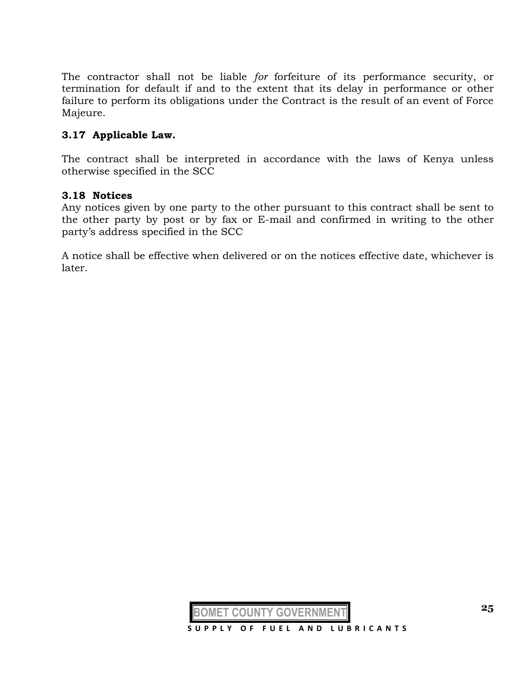The contractor shall not be liable *for* forfeiture of its performance security, or termination for default if and to the extent that its delay in performance or other failure to perform its obligations under the Contract is the result of an event of Force Majeure.

### **3.17 Applicable Law.**

The contract shall be interpreted in accordance with the laws of Kenya unless otherwise specified in the SCC

#### **3.18 Notices**

Any notices given by one party to the other pursuant to this contract shall be sent to the other party by post or by fax or E-mail and confirmed in writing to the other party's address specified in the SCC

A notice shall be effective when delivered or on the notices effective date, whichever is later.

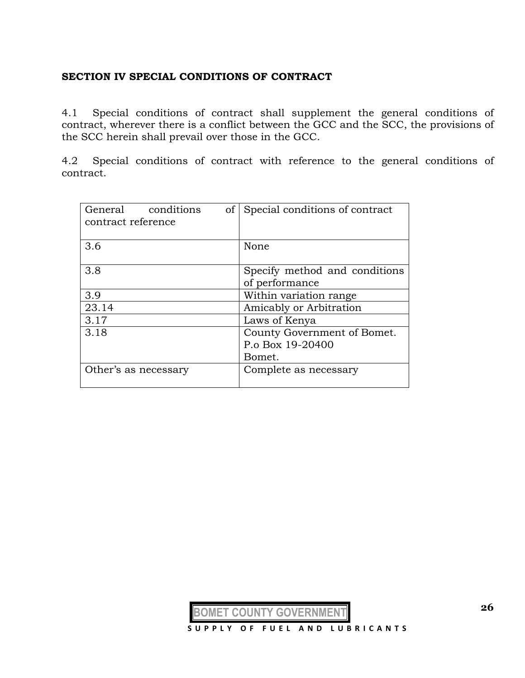#### **SECTION IV SPECIAL CONDITIONS OF CONTRACT**

4.1 Special conditions of contract shall supplement the general conditions of contract, wherever there is a conflict between the GCC and the SCC, the provisions of the SCC herein shall prevail over those in the GCC.

4.2 Special conditions of contract with reference to the general conditions of contract.

| conditions<br>General<br>of<br>contract reference | Special conditions of contract                            |  |  |
|---------------------------------------------------|-----------------------------------------------------------|--|--|
| 3.6                                               | None                                                      |  |  |
| 3.8                                               | Specify method and conditions<br>of performance           |  |  |
| 3.9                                               | Within variation range                                    |  |  |
| 23.14                                             | Amicably or Arbitration                                   |  |  |
| 3.17                                              | Laws of Kenya                                             |  |  |
| 3.18                                              | County Government of Bomet.<br>P.o Box 19-20400<br>Bomet. |  |  |
| Other's as necessary                              | Complete as necessary                                     |  |  |

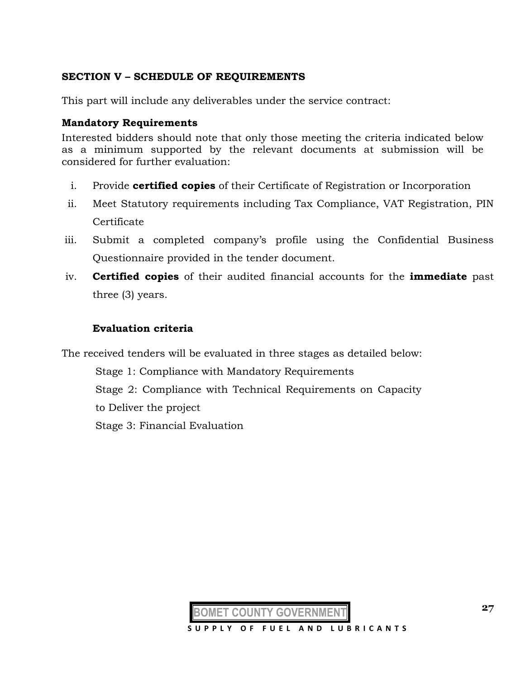# **SECTION V – SCHEDULE OF REQUIREMENTS**

This part will include any deliverables under the service contract:

### **Mandatory Requirements**

Interested bidders should note that only those meeting the criteria indicated below as a minimum supported by the relevant documents at submission will be considered for further evaluation:

- i. Provide **certified copies** of their Certificate of Registration or Incorporation
- ii. Meet Statutory requirements including Tax Compliance, VAT Registration, PIN Certificate
- iii. Submit a completed company's profile using the Confidential Business Questionnaire provided in the tender document.
- iv. **Certified copies** of their audited financial accounts for the **immediate** past three (3) years.

# **Evaluation criteria**

The received tenders will be evaluated in three stages as detailed below:

Stage 1: Compliance with Mandatory Requirements Stage 2: Compliance with Technical Requirements on Capacity to Deliver the project Stage 3: Financial Evaluation

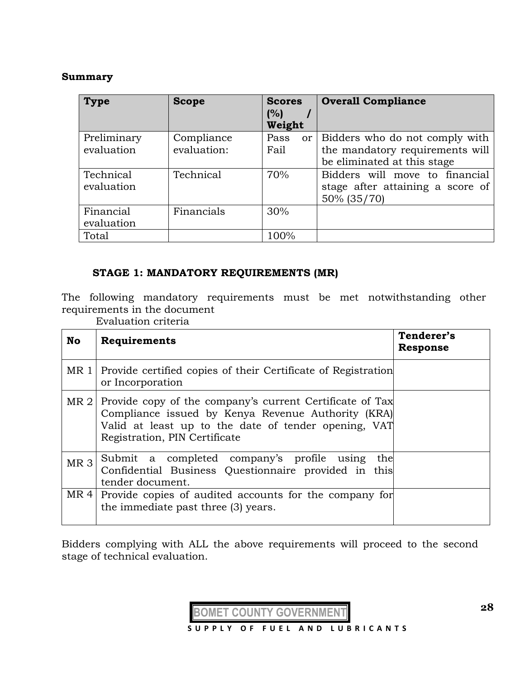#### **Summary**

| <b>Type</b> | <b>Scope</b> | <b>Scores</b><br>(%) | <b>Overall Compliance</b>           |
|-------------|--------------|----------------------|-------------------------------------|
|             |              | Weight               |                                     |
| Preliminary | Compliance   | Pass                 | or   Bidders who do not comply with |
| evaluation  | evaluation:  | Fail                 | the mandatory requirements will     |
|             |              |                      | be eliminated at this stage         |
| Technical   | Technical    | 70%                  | Bidders will move to financial      |
| evaluation  |              |                      | stage after attaining a score of    |
|             |              |                      | 50% (35/70)                         |
| Financial   | Financials   | 30%                  |                                     |
| evaluation  |              |                      |                                     |
| Total       |              | 100%                 |                                     |

# **STAGE 1: MANDATORY REQUIREMENTS (MR)**

The following mandatory requirements must be met notwithstanding other requirements in the document

Evaluation criteria

| No              | Requirements                                                                                                                                                                                            | Tenderer's<br><b>Response</b> |
|-----------------|---------------------------------------------------------------------------------------------------------------------------------------------------------------------------------------------------------|-------------------------------|
| MR 1            | Provide certified copies of their Certificate of Registration<br>or Incorporation                                                                                                                       |                               |
| MR <sub>2</sub> | Provide copy of the company's current Certificate of Tax<br>Compliance issued by Kenya Revenue Authority (KRA)<br>Valid at least up to the date of tender opening, VAT<br>Registration, PIN Certificate |                               |
| MR <sub>3</sub> | Submit a completed company's profile using<br>the<br>Confidential Business Questionnaire provided in this<br>tender document.                                                                           |                               |
| MR4             | Provide copies of audited accounts for the company for<br>the immediate past three (3) years.                                                                                                           |                               |

Bidders complying with ALL the above requirements will proceed to the second stage of technical evaluation.

**BOMET COUNTY GOVERNMENT**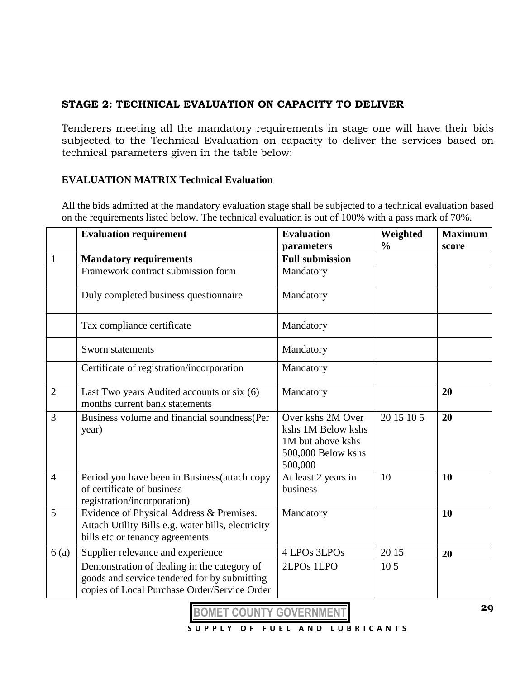# **STAGE 2: TECHNICAL EVALUATION ON CAPACITY TO DELIVER**

Tenderers meeting all the mandatory requirements in stage one will have their bids subjected to the Technical Evaluation on capacity to deliver the services based on technical parameters given in the table below:

# **EVALUATION MATRIX Technical Evaluation**

All the bids admitted at the mandatory evaluation stage shall be subjected to a technical evaluation based on the requirements listed below. The technical evaluation is out of 100% with a pass mark of 70%.

|                | <b>Evaluation requirement</b>                                                                                                               | <b>Evaluation</b><br>parameters                                                               | Weighted<br>$\frac{0}{0}$ | <b>Maximum</b><br>score |
|----------------|---------------------------------------------------------------------------------------------------------------------------------------------|-----------------------------------------------------------------------------------------------|---------------------------|-------------------------|
|                | <b>Mandatory requirements</b>                                                                                                               | <b>Full submission</b>                                                                        |                           |                         |
|                | Framework contract submission form                                                                                                          | Mandatory                                                                                     |                           |                         |
|                | Duly completed business questionnaire                                                                                                       | Mandatory                                                                                     |                           |                         |
|                | Tax compliance certificate                                                                                                                  | Mandatory                                                                                     |                           |                         |
|                | Sworn statements                                                                                                                            | Mandatory                                                                                     |                           |                         |
|                | Certificate of registration/incorporation                                                                                                   | Mandatory                                                                                     |                           |                         |
| $\overline{2}$ | Last Two years Audited accounts or six (6)<br>months current bank statements                                                                | Mandatory                                                                                     |                           | 20                      |
| 3              | Business volume and financial soundness(Per<br>year)                                                                                        | Over kshs 2M Over<br>kshs 1M Below kshs<br>1M but above kshs<br>500,000 Below kshs<br>500,000 | 20 15 10 5                | 20                      |
| $\overline{4}$ | Period you have been in Business (attach copy<br>of certificate of business<br>registration/incorporation)                                  | At least 2 years in<br>business                                                               | 10                        | 10                      |
| 5              | Evidence of Physical Address & Premises.<br>Attach Utility Bills e.g. water bills, electricity<br>bills etc or tenancy agreements           | Mandatory                                                                                     |                           | 10                      |
| 6(a)           | Supplier relevance and experience                                                                                                           | 4 LPOs 3LPOs                                                                                  | 20 15                     | 20                      |
|                | Demonstration of dealing in the category of<br>goods and service tendered for by submitting<br>copies of Local Purchase Order/Service Order | 2LPO <sub>s</sub> 1LPO                                                                        | 10 <sub>5</sub>           |                         |

**BOMET COUNTY GOVERNMENT**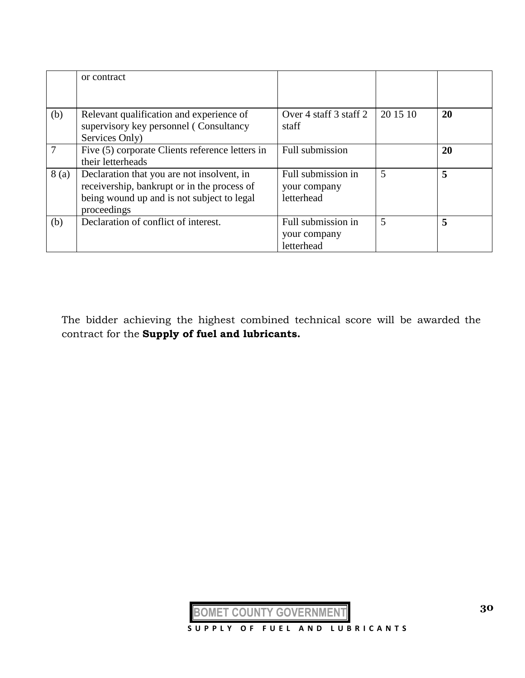|      | or contract                                                                                                                                            |                                                  |          |    |
|------|--------------------------------------------------------------------------------------------------------------------------------------------------------|--------------------------------------------------|----------|----|
| (b)  | Relevant qualification and experience of<br>supervisory key personnel (Consultancy<br>Services Only)                                                   | Over 4 staff 3 staff 2<br>staff                  | 20 15 10 | 20 |
|      | Five (5) corporate Clients reference letters in<br>their letterheads                                                                                   | Full submission                                  |          | 20 |
| 8(a) | Declaration that you are not insolvent, in<br>receivership, bankrupt or in the process of<br>being wound up and is not subject to legal<br>proceedings | Full submission in<br>your company<br>letterhead | 5        | 5  |
| (b)  | Declaration of conflict of interest.                                                                                                                   | Full submission in<br>your company<br>letterhead | 5        | 5  |

The bidder achieving the highest combined technical score will be awarded the contract for the **Supply of fuel and lubricants.**

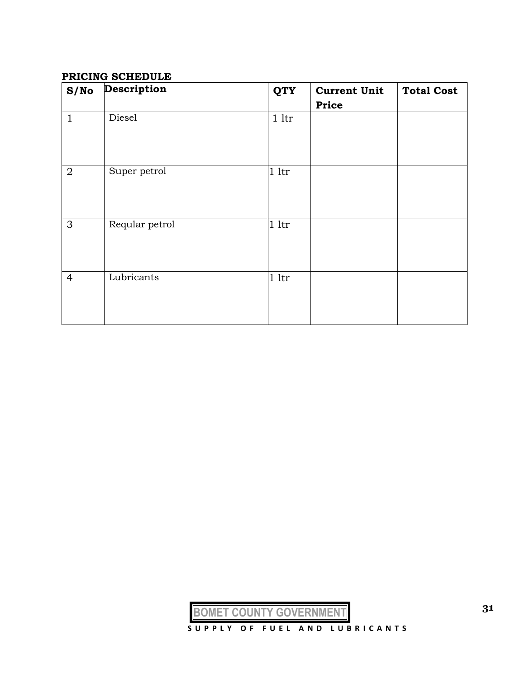#### **PRICING SCHEDULE**

| S/No           | Description    | <b>QTY</b>     | <b>Current Unit</b><br><b>Price</b> | <b>Total Cost</b> |
|----------------|----------------|----------------|-------------------------------------|-------------------|
| $\mathbf{1}$   | Diesel         | $1$ ltr        |                                     |                   |
| $\overline{2}$ | Super petrol   | 1 <sup>1</sup> |                                     |                   |
| 3              | Reqular petrol | 1 <sup>1</sup> |                                     |                   |
| $\overline{4}$ | Lubricants     | 1 <sup>1</sup> |                                     |                   |

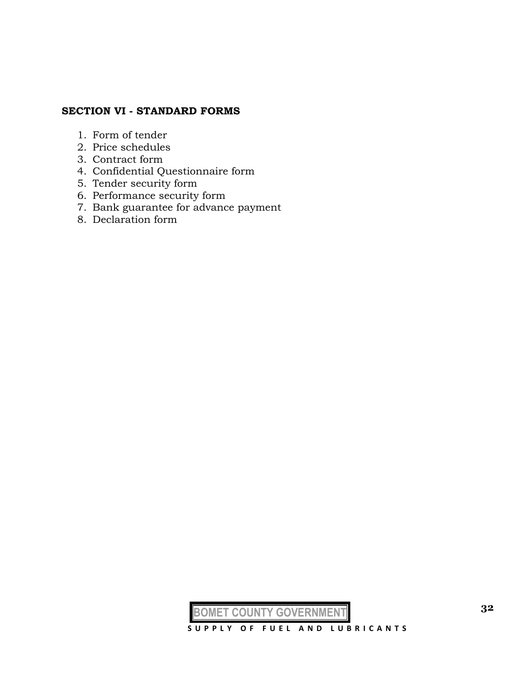# **SECTION VI - STANDARD FORMS**

- 1. Form of tender
- 2. Price schedules
- 3. Contract form
- 4. Confidential Questionnaire form
- 5. Tender security form
- 6. Performance security form
- 7. Bank guarantee for advance payment
- 8. Declaration form

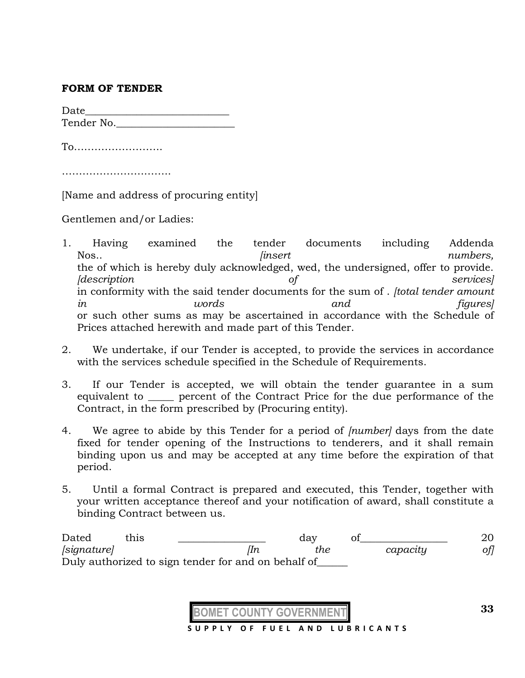#### **FORM OF TENDER**

Date  $\qquad \qquad \qquad \qquad$ Tender No.\_\_\_\_\_\_\_\_\_\_\_\_\_\_\_\_\_\_\_\_\_\_\_

To……………………..

……………………………………

[Name and address of procuring entity]

Gentlemen and/or Ladies:

- 1. Having examined the tender documents including Addenda Nos.. *compared insert insert numbers, numbers,* the of which is hereby duly acknowledged, wed, the undersigned, offer to provide. *[description of services]*  in conformity with the said tender documents for the sum of . *[total tender amount in words and figures]*  or such other sums as may be ascertained in accordance with the Schedule of Prices attached herewith and made part of this Tender.
- 2. We undertake, if our Tender is accepted, to provide the services in accordance with the services schedule specified in the Schedule of Requirements.
- 3. If our Tender is accepted, we will obtain the tender guarantee in a sum equivalent to **percent of the Contract Price for the due performance of the** Contract, in the form prescribed by (Procuring entity).
- 4. We agree to abide by this Tender for a period of *[number]* days from the date fixed for tender opening of the Instructions to tenderers, and it shall remain binding upon us and may be accepted at any time before the expiration of that period.
- 5. Until a formal Contract is prepared and executed, this Tender, together with your written acceptance thereof and your notification of award, shall constitute a binding Contract between us.

Dated this \_\_\_\_\_\_\_\_\_\_\_\_\_\_ day of\_\_\_\_\_\_\_\_\_\_\_\_ 20 *[signature] [In the capacity of]* Duly authorized to sign tender for and on behalf of\_\_\_\_\_\_

 **S U P P L Y O F F U E L A N D L U B R I C A N T S**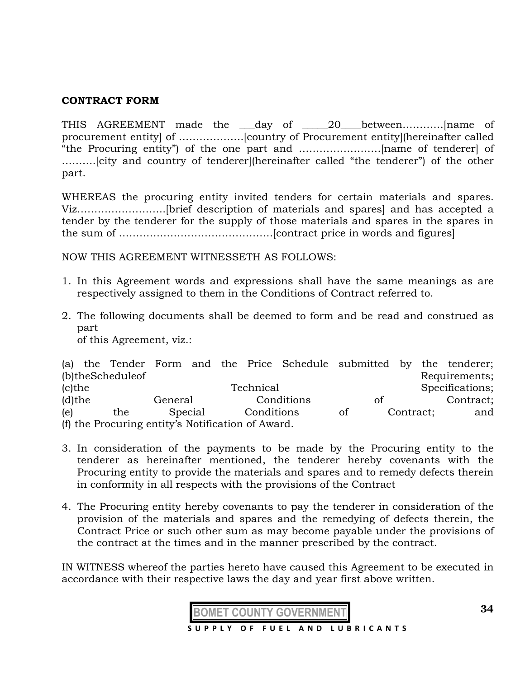#### **CONTRACT FORM**

THIS AGREEMENT made the \_\_\_day of \_\_\_\_\_20\_\_\_\_between…………[name of procurement entity] of ……………….[country of Procurement entity](hereinafter called "the Procuring entity") of the one part and ……………………[name of tenderer] of ……….[city and country of tenderer](hereinafter called "the tenderer") of the other part.

WHEREAS the procuring entity invited tenders for certain materials and spares. Viz……………………..[brief description of materials and spares] and has accepted a tender by the tenderer for the supply of those materials and spares in the spares in the sum of ………………………………………[contract price in words and figures]

NOW THIS AGREEMENT WITNESSETH AS FOLLOWS:

- 1. In this Agreement words and expressions shall have the same meanings as are respectively assigned to them in the Conditions of Contract referred to.
- 2. The following documents shall be deemed to form and be read and construed as part

of this Agreement, viz.:

|           |                                                   |         |         |            | (a) the Tender Form and the Price Schedule submitted by the tenderer; |    |           |                 |
|-----------|---------------------------------------------------|---------|---------|------------|-----------------------------------------------------------------------|----|-----------|-----------------|
|           | (b)theScheduleof                                  |         |         |            |                                                                       |    |           | Requirements;   |
| $(c)$ the |                                                   |         |         | Technical  |                                                                       |    |           | Specifications; |
| $(d)$ the |                                                   | General |         |            | Conditions                                                            | of |           | Contract;       |
| (e)       | the                                               |         | Special | Conditions |                                                                       | of | Contract; | and             |
|           | (f) the Procuring entity's Notification of Award. |         |         |            |                                                                       |    |           |                 |

- 3. In consideration of the payments to be made by the Procuring entity to the tenderer as hereinafter mentioned, the tenderer hereby covenants with the Procuring entity to provide the materials and spares and to remedy defects therein in conformity in all respects with the provisions of the Contract
- 4. The Procuring entity hereby covenants to pay the tenderer in consideration of the provision of the materials and spares and the remedying of defects therein, the Contract Price or such other sum as may become payable under the provisions of the contract at the times and in the manner prescribed by the contract.

IN WITNESS whereof the parties hereto have caused this Agreement to be executed in accordance with their respective laws the day and year first above written.

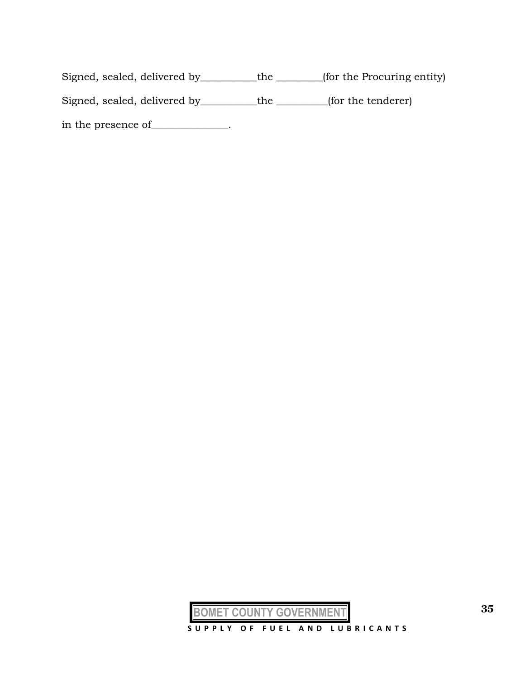Signed, sealed, delivered by\_\_\_\_\_\_\_\_\_\_\_the \_\_\_\_\_\_\_\_\_(for the Procuring entity) Signed, sealed, delivered by \_\_\_\_\_\_\_\_\_the \_\_\_\_\_\_\_\_(for the tenderer)

in the presence of\_\_\_\_\_\_\_\_\_\_\_\_\_.

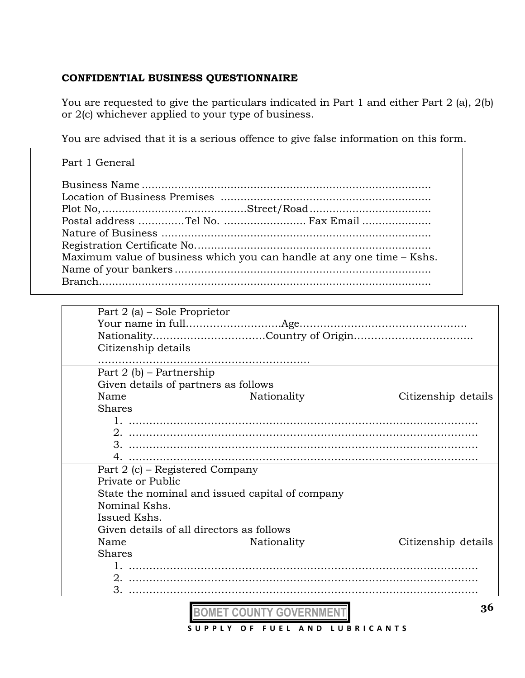# **CONFIDENTIAL BUSINESS QUESTIONNAIRE**

You are requested to give the particulars indicated in Part 1 and either Part 2 (a), 2(b) or 2(c) whichever applied to your type of business.

You are advised that it is a serious offence to give false information on this form.

| Part 1 General                                                         |
|------------------------------------------------------------------------|
| Postal address Tel No.  Fax Email                                      |
| Maximum value of business which you can handle at any one time - Kshs. |
|                                                                        |
|                                                                        |

|                     | Part 2 (a) – Sole Proprietor                    |                     |  |  |  |  |
|---------------------|-------------------------------------------------|---------------------|--|--|--|--|
|                     |                                                 |                     |  |  |  |  |
|                     |                                                 |                     |  |  |  |  |
| Citizenship details |                                                 |                     |  |  |  |  |
|                     |                                                 |                     |  |  |  |  |
|                     | Part 2 (b) – Partnership                        |                     |  |  |  |  |
|                     | Given details of partners as follows            |                     |  |  |  |  |
| Name                | Nationality                                     | Citizenship details |  |  |  |  |
| <b>Shares</b>       |                                                 |                     |  |  |  |  |
|                     |                                                 |                     |  |  |  |  |
|                     | 2. ………………………………………………………………………………………            |                     |  |  |  |  |
|                     |                                                 |                     |  |  |  |  |
|                     |                                                 |                     |  |  |  |  |
|                     | Part 2 (c) - Registered Company                 |                     |  |  |  |  |
| Private or Public   |                                                 |                     |  |  |  |  |
|                     | State the nominal and issued capital of company |                     |  |  |  |  |
| Nominal Kshs.       |                                                 |                     |  |  |  |  |
| Issued Kshs.        |                                                 |                     |  |  |  |  |
|                     | Given details of all directors as follows       |                     |  |  |  |  |
| Name                | Nationality                                     | Citizenship details |  |  |  |  |
| <b>Shares</b>       |                                                 |                     |  |  |  |  |
|                     |                                                 |                     |  |  |  |  |
|                     | 2. ………………………………………………………………………………………            |                     |  |  |  |  |
| 3. <u></u>          |                                                 |                     |  |  |  |  |

**BOMET COUNTY GOVERNMENT S U P P L Y O F F U E L A N D L U B R I C A N T S**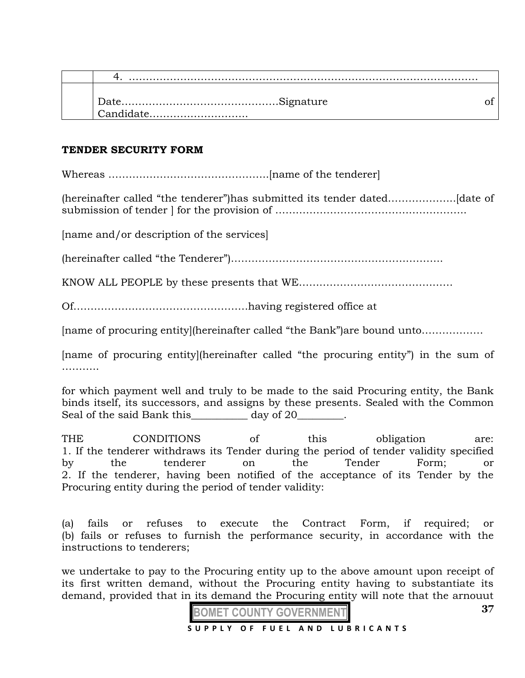| Candidate |  |
|-----------|--|

#### **TENDER SECURITY FORM**

Whereas ………………………………………..[name of the tenderer]

(hereinafter called "the tenderer")has submitted its tender dated………………..[date of submission of tender ] for the provision of ………………………………………………..

[name and/or description of the services]

(hereinafter called "the Tenderer")……………………………………………………..

KNOW ALL PEOPLE by these presents that WE………………………………………

Of……………………………………………having registered office at

[name of procuring entity](hereinafter called "the Bank")are bound unto………………

[name of procuring entity](hereinafter called "the procuring entity") in the sum of …………

for which payment well and truly to be made to the said Procuring entity, the Bank binds itself, its successors, and assigns by these presents. Sealed with the Common Seal of the said Bank this day of 20

THE CONDITIONS of this obligation are: 1. If the tenderer withdraws its Tender during the period of tender validity specified by the tenderer on the Tender Form; or 2. If the tenderer, having been notified of the acceptance of its Tender by the Procuring entity during the period of tender validity:

(a) fails or refuses to execute the Contract Form, if required; or (b) fails or refuses to furnish the performance security, in accordance with the instructions to tenderers;

we undertake to pay to the Procuring entity up to the above amount upon receipt of its first written demand, without the Procuring entity having to substantiate its demand, provided that in its demand the Procuring entity will note that the arnouut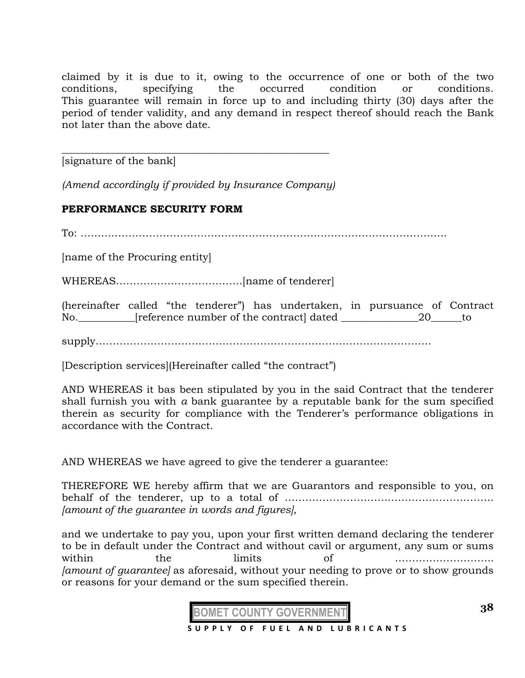claimed by it is due to it, owing to the occurrence of one or both of the two conditions, specifying the occurred condition or conditions. This guarantee will remain in force up to and including thirty (30) days after the period of tender validity, and any demand in respect thereof should reach the Bank not later than the above date.

[signature of the bank]

*(Amend accordingly if provided by Insurance Company)*

\_\_\_\_\_\_\_\_\_\_\_\_\_\_\_\_\_\_\_\_\_\_\_\_\_\_\_\_\_\_\_\_\_\_\_\_\_\_\_\_\_\_\_\_\_\_\_\_\_\_\_\_

# **PERFORMANCE SECURITY FORM**

To: ……………………………………………………………………………………………..

[name of the Procuring entity]

WHEREAS……………………………….[name of tenderer]

(hereinafter called "the tenderer") has undertaken, in pursuance of Contract No.\_\_\_\_\_\_\_\_\_\_\_\_[reference number of the contract] dated \_\_\_\_\_\_\_\_\_\_\_\_\_\_\_\_\_\_\_\_\_\_\_\_\_\_\_\_\_\_\_to

supply……………………………………………………………………………………..

[Description services](Hereinafter called "the contract")

AND WHEREAS it bas been stipulated by you in the said Contract that the tenderer shall furnish you with *a* bank guarantee by a reputable bank for the sum specified therein as security for compliance with the Tenderer's performance obligations in accordance with the Contract.

AND WHEREAS we have agreed to give the tenderer a guarantee:

THEREFORE WE hereby affirm that we are Guarantors and responsible to you, on behalf of the tenderer, up to a total of ……………………………………………………. *[amount of the guarantee in words and figures],*

and we undertake to pay you, upon your first written demand declaring the tenderer to be in default under the Contract and without cavil or argument, any sum or sums within the limits of ……………………….. *[amount of guarantee]* as aforesaid, without your needing to prove or to show grounds or reasons for your demand or the sum specified therein.

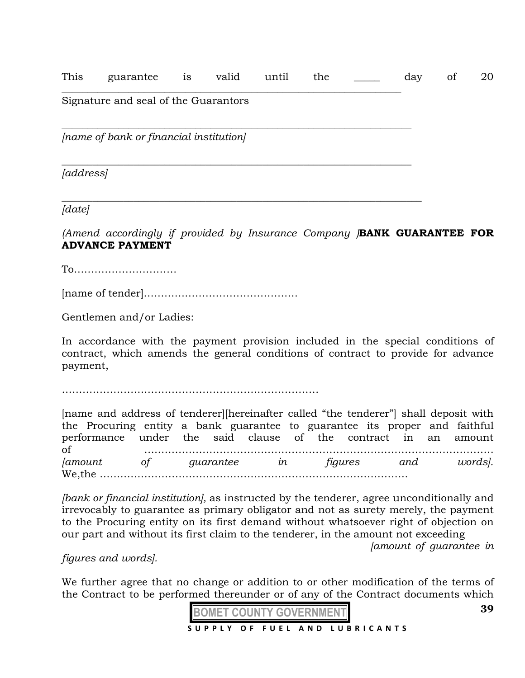This guarantee is valid until the \_\_\_\_\_ day of 20

\_\_\_\_\_\_\_\_\_\_\_\_\_\_\_\_\_\_\_\_\_\_\_\_\_\_\_\_\_\_\_\_\_\_\_\_\_\_\_\_\_\_\_\_\_\_\_\_\_\_\_\_\_\_\_\_\_\_\_\_\_\_\_\_\_\_

*\_\_\_\_\_\_\_\_\_\_\_\_\_\_\_\_\_\_\_\_\_\_\_\_\_\_\_\_\_\_\_\_\_\_\_\_\_\_\_\_\_\_\_\_\_\_\_\_\_\_\_\_\_\_\_\_\_\_\_\_\_\_\_\_\_\_\_\_*

*\_\_\_\_\_\_\_\_\_\_\_\_\_\_\_\_\_\_\_\_\_\_\_\_\_\_\_\_\_\_\_\_\_\_\_\_\_\_\_\_\_\_\_\_\_\_\_\_\_\_\_\_\_\_\_\_\_\_\_\_\_\_\_\_\_\_\_\_\_\_*

### Signature and seal of the Guarantors

 $\_$  , and the contribution of the contribution of  $\mathcal{L}_\mathcal{A}$  , and the contribution of  $\mathcal{L}_\mathcal{A}$ *[name of bank or financial institution]* 

*[address]* 

*[date]* 

*(Amend accordingly if provided by Insurance Company )***BANK GUARANTEE FOR ADVANCE PAYMENT**

To…………………………

[name of tender]………………………………………

Gentlemen and/or Ladies:

In accordance with the payment provision included in the special conditions of contract, which amends the general conditions of contract to provide for advance payment,

…………………………………………………………………

[name and address of tenderer][hereinafter called "the tenderer"] shall deposit with the Procuring entity a bank guarantee to guarantee its proper and faithful performance under the said clause of the contract in an amount of ………………………………………………………………………………………… *[amount of guarantee in figures and words].*  We,the ………………………………………………………………………………

*[bank or financial institution],* as instructed by the tenderer, agree unconditionally and irrevocably to guarantee as primary obligator and not as surety merely, the payment to the Procuring entity on its first demand without whatsoever right of objection on our part and without its first claim to the tenderer, in the amount not exceeding

*[amount of guarantee in* 

*figures and words].* 

We further agree that no change or addition to or other modification of the terms of the Contract to be performed thereunder or of any of the Contract documents which



**39**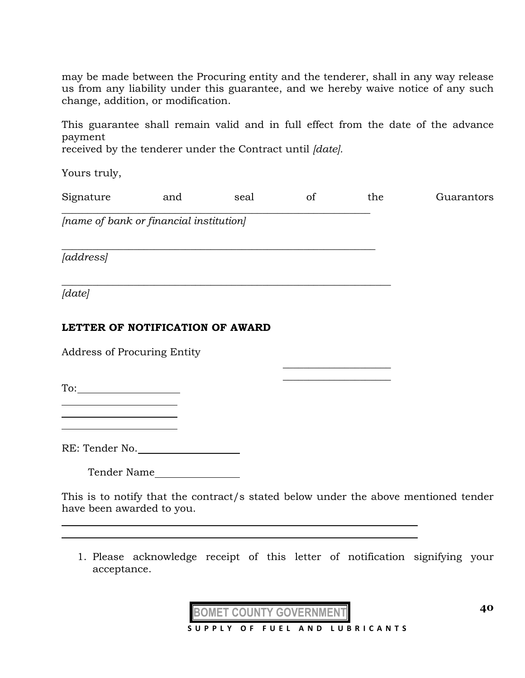may be made between the Procuring entity and the tenderer, shall in any way release us from any liability under this guarantee, and we hereby waive notice of any such change, addition, or modification.

This guarantee shall remain valid and in full effect from the date of the advance payment

received by the tenderer under the Contract until *[date].* 

 $\_$  , and the set of the set of the set of the set of the set of the set of the set of the set of the set of the set of the set of the set of the set of the set of the set of the set of the set of the set of the set of th

*\_\_\_\_\_\_\_\_\_\_\_\_\_\_\_\_\_\_\_\_\_\_\_\_\_\_\_\_\_\_\_\_\_\_\_\_\_\_\_\_\_\_\_\_\_\_\_\_\_\_\_\_\_\_\_\_\_\_\_\_\_*

Yours truly,

|  | Signature | and | seal |  | the | Guarantors |
|--|-----------|-----|------|--|-----|------------|
|--|-----------|-----|------|--|-----|------------|

*[name of bank or financial institution]* 

*[address]* 

*\_\_\_\_\_\_\_\_\_\_\_\_\_\_\_\_\_\_\_\_\_\_\_\_\_\_\_\_\_\_\_\_\_\_\_\_\_\_\_\_\_\_\_\_\_\_\_\_\_\_\_\_\_\_\_\_\_\_\_\_\_\_\_\_ [date]* 

l

# **LETTER OF NOTIFICATION OF AWARD**

Address of Procuring Entity

To:

RE: Tender No.

Tender Name

This is to notify that the contract/s stated below under the above mentioned tender have been awarded to you.

 $\overline{\phantom{a}}$  , where  $\overline{\phantom{a}}$  , where  $\overline{\phantom{a}}$  , where  $\overline{\phantom{a}}$  $\overline{\phantom{a}}$  , where  $\overline{\phantom{a}}$  , where  $\overline{\phantom{a}}$  , where  $\overline{\phantom{a}}$ 

1. Please acknowledge receipt of this letter of notification signifying your acceptance.

**BOMET COUNTY GOVERNMENT**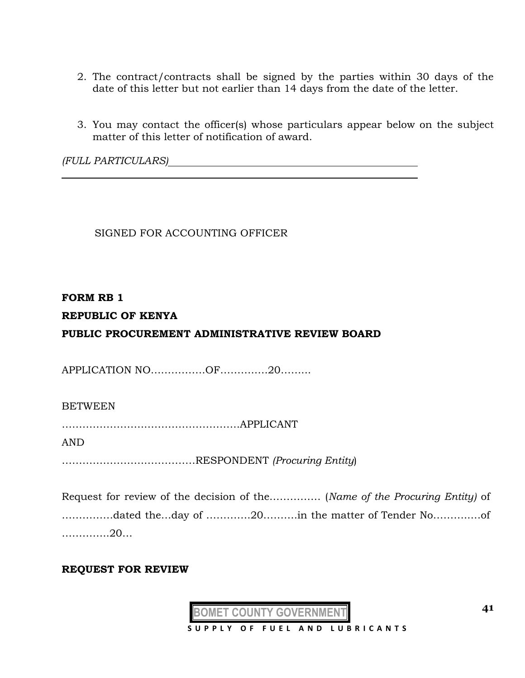- 2. The contract/contracts shall be signed by the parties within 30 days of the date of this letter but not earlier than 14 days from the date of the letter.
- 3. You may contact the officer(s) whose particulars appear below on the subject matter of this letter of notification of award.

*(FULL PARTICULARS)*

SIGNED FOR ACCOUNTING OFFICER

#### **FORM RB 1**

# **REPUBLIC OF KENYA**

# **PUBLIC PROCUREMENT ADMINISTRATIVE REVIEW BOARD**

APPLICATION NO…………….OF……….….20……...

#### BETWEEN

…………………………………………….APPLICANT

AND

…………………………………RESPONDENT *(Procuring Entity*)

Request for review of the decision of the…………… (*Name of the Procuring Entity)* of ……………dated the…day of ………….20……….in the matter of Tender No………..…of …………..20…

#### **REQUEST FOR REVIEW**